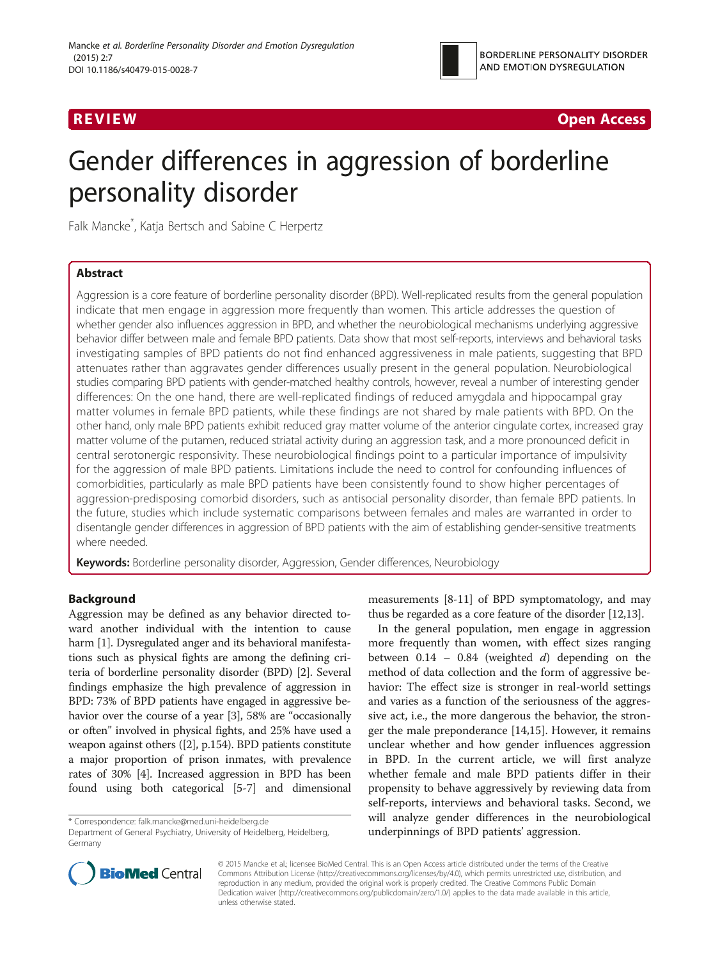**REVIEW CONSTRUCTION CONSTRUCTION CONSTRUCTS** 

# Gender differences in aggression of borderline personality disorder

Falk Mancke\* , Katja Bertsch and Sabine C Herpertz

# Abstract

Aggression is a core feature of borderline personality disorder (BPD). Well-replicated results from the general population indicate that men engage in aggression more frequently than women. This article addresses the question of whether gender also influences aggression in BPD, and whether the neurobiological mechanisms underlying aggressive behavior differ between male and female BPD patients. Data show that most self-reports, interviews and behavioral tasks investigating samples of BPD patients do not find enhanced aggressiveness in male patients, suggesting that BPD attenuates rather than aggravates gender differences usually present in the general population. Neurobiological studies comparing BPD patients with gender-matched healthy controls, however, reveal a number of interesting gender differences: On the one hand, there are well-replicated findings of reduced amygdala and hippocampal gray matter volumes in female BPD patients, while these findings are not shared by male patients with BPD. On the other hand, only male BPD patients exhibit reduced gray matter volume of the anterior cingulate cortex, increased gray matter volume of the putamen, reduced striatal activity during an aggression task, and a more pronounced deficit in central serotonergic responsivity. These neurobiological findings point to a particular importance of impulsivity for the aggression of male BPD patients. Limitations include the need to control for confounding influences of comorbidities, particularly as male BPD patients have been consistently found to show higher percentages of aggression-predisposing comorbid disorders, such as antisocial personality disorder, than female BPD patients. In the future, studies which include systematic comparisons between females and males are warranted in order to disentangle gender differences in aggression of BPD patients with the aim of establishing gender-sensitive treatments where needed.

Keywords: Borderline personality disorder, Aggression, Gender differences, Neurobiology

# Background

Aggression may be defined as any behavior directed toward another individual with the intention to cause harm [[1](#page-9-0)]. Dysregulated anger and its behavioral manifestations such as physical fights are among the defining criteria of borderline personality disorder (BPD) [[2](#page-9-0)]. Several findings emphasize the high prevalence of aggression in BPD: 73% of BPD patients have engaged in aggressive behavior over the course of a year [\[3\]](#page-9-0), 58% are "occasionally or often" involved in physical fights, and 25% have used a weapon against others ([\[2](#page-9-0)], p.154). BPD patients constitute a major proportion of prison inmates, with prevalence rates of 30% [\[4\]](#page-9-0). Increased aggression in BPD has been found using both categorical [[5-7](#page-9-0)] and dimensional



In the general population, men engage in aggression more frequently than women, with effect sizes ranging between  $0.14 - 0.84$  (weighted d) depending on the method of data collection and the form of aggressive behavior: The effect size is stronger in real-world settings and varies as a function of the seriousness of the aggressive act, i.e., the more dangerous the behavior, the stronger the male preponderance [\[14,15\]](#page-10-0). However, it remains unclear whether and how gender influences aggression in BPD. In the current article, we will first analyze whether female and male BPD patients differ in their propensity to behave aggressively by reviewing data from self-reports, interviews and behavioral tasks. Second, we will analyze gender differences in the neurobiological underpinnings of BPD patients' aggression.



© 2015 Mancke et al.; licensee BioMed Central. This is an Open Access article distributed under the terms of the Creative Commons Attribution License [\(http://creativecommons.org/licenses/by/4.0\)](http://creativecommons.org/licenses/by/4.0), which permits unrestricted use, distribution, and reproduction in any medium, provided the original work is properly credited. The Creative Commons Public Domain Dedication waiver [\(http://creativecommons.org/publicdomain/zero/1.0/](http://creativecommons.org/publicdomain/zero/1.0/)) applies to the data made available in this article, unless otherwise stated.

<sup>\*</sup> Correspondence: [falk.mancke@med.uni-heidelberg.de](mailto:falk.mancke@med.uni-heidelberg.de)

Department of General Psychiatry, University of Heidelberg, Heidelberg, Germany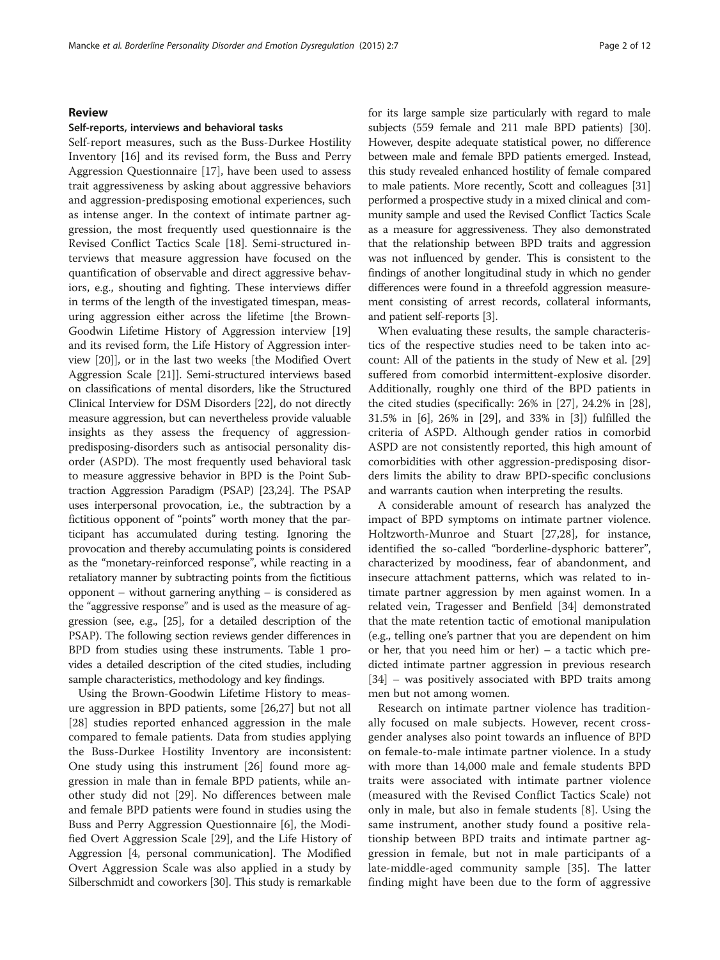#### Review

#### Self-reports, interviews and behavioral tasks

Self-report measures, such as the Buss-Durkee Hostility Inventory [\[16\]](#page-10-0) and its revised form, the Buss and Perry Aggression Questionnaire [[17](#page-10-0)], have been used to assess trait aggressiveness by asking about aggressive behaviors and aggression-predisposing emotional experiences, such as intense anger. In the context of intimate partner aggression, the most frequently used questionnaire is the Revised Conflict Tactics Scale [[18](#page-10-0)]. Semi-structured interviews that measure aggression have focused on the quantification of observable and direct aggressive behaviors, e.g., shouting and fighting. These interviews differ in terms of the length of the investigated timespan, measuring aggression either across the lifetime [the Brown-Goodwin Lifetime History of Aggression interview [[19](#page-10-0)] and its revised form, the Life History of Aggression interview [[20](#page-10-0)]], or in the last two weeks [the Modified Overt Aggression Scale [[21](#page-10-0)]]. Semi-structured interviews based on classifications of mental disorders, like the Structured Clinical Interview for DSM Disorders [[22](#page-10-0)], do not directly measure aggression, but can nevertheless provide valuable insights as they assess the frequency of aggressionpredisposing-disorders such as antisocial personality disorder (ASPD). The most frequently used behavioral task to measure aggressive behavior in BPD is the Point Subtraction Aggression Paradigm (PSAP) [\[23,24\]](#page-10-0). The PSAP uses interpersonal provocation, i.e., the subtraction by a fictitious opponent of "points" worth money that the participant has accumulated during testing. Ignoring the provocation and thereby accumulating points is considered as the "monetary-reinforced response", while reacting in a retaliatory manner by subtracting points from the fictitious opponent – without garnering anything – is considered as the "aggressive response" and is used as the measure of aggression (see, e.g., [\[25](#page-10-0)], for a detailed description of the PSAP). The following section reviews gender differences in BPD from studies using these instruments. Table [1](#page-2-0) provides a detailed description of the cited studies, including sample characteristics, methodology and key findings.

Using the Brown-Goodwin Lifetime History to measure aggression in BPD patients, some [[26](#page-10-0),[27](#page-10-0)] but not all [[28\]](#page-10-0) studies reported enhanced aggression in the male compared to female patients. Data from studies applying the Buss-Durkee Hostility Inventory are inconsistent: One study using this instrument [\[26\]](#page-10-0) found more aggression in male than in female BPD patients, while another study did not [[29\]](#page-10-0). No differences between male and female BPD patients were found in studies using the Buss and Perry Aggression Questionnaire [\[6\]](#page-9-0), the Modified Overt Aggression Scale [\[29](#page-10-0)], and the Life History of Aggression [4, personal communication]. The Modified Overt Aggression Scale was also applied in a study by Silberschmidt and coworkers [[30](#page-10-0)]. This study is remarkable for its large sample size particularly with regard to male subjects (559 female and 211 male BPD patients) [[30](#page-10-0)]. However, despite adequate statistical power, no difference between male and female BPD patients emerged. Instead, this study revealed enhanced hostility of female compared to male patients. More recently, Scott and colleagues [\[31](#page-10-0)] performed a prospective study in a mixed clinical and community sample and used the Revised Conflict Tactics Scale as a measure for aggressiveness. They also demonstrated that the relationship between BPD traits and aggression was not influenced by gender. This is consistent to the findings of another longitudinal study in which no gender differences were found in a threefold aggression measurement consisting of arrest records, collateral informants, and patient self-reports [\[3\]](#page-9-0).

When evaluating these results, the sample characteristics of the respective studies need to be taken into account: All of the patients in the study of New et al. [[29](#page-10-0)] suffered from comorbid intermittent-explosive disorder. Additionally, roughly one third of the BPD patients in the cited studies (specifically: 26% in [\[27](#page-10-0)], 24.2% in [\[28](#page-10-0)], 31.5% in [\[6](#page-9-0)], 26% in [\[29](#page-10-0)], and 33% in [[3\]](#page-9-0)) fulfilled the criteria of ASPD. Although gender ratios in comorbid ASPD are not consistently reported, this high amount of comorbidities with other aggression-predisposing disorders limits the ability to draw BPD-specific conclusions and warrants caution when interpreting the results.

A considerable amount of research has analyzed the impact of BPD symptoms on intimate partner violence. Holtzworth-Munroe and Stuart [[27,28\]](#page-10-0), for instance, identified the so-called "borderline-dysphoric batterer", characterized by moodiness, fear of abandonment, and insecure attachment patterns, which was related to intimate partner aggression by men against women. In a related vein, Tragesser and Benfield [[34\]](#page-10-0) demonstrated that the mate retention tactic of emotional manipulation (e.g., telling one's partner that you are dependent on him or her, that you need him or her) – a tactic which predicted intimate partner aggression in previous research [[34\]](#page-10-0) – was positively associated with BPD traits among men but not among women.

Research on intimate partner violence has traditionally focused on male subjects. However, recent crossgender analyses also point towards an influence of BPD on female-to-male intimate partner violence. In a study with more than 14,000 male and female students BPD traits were associated with intimate partner violence (measured with the Revised Conflict Tactics Scale) not only in male, but also in female students [\[8](#page-9-0)]. Using the same instrument, another study found a positive relationship between BPD traits and intimate partner aggression in female, but not in male participants of a late-middle-aged community sample [[35\]](#page-10-0). The latter finding might have been due to the form of aggressive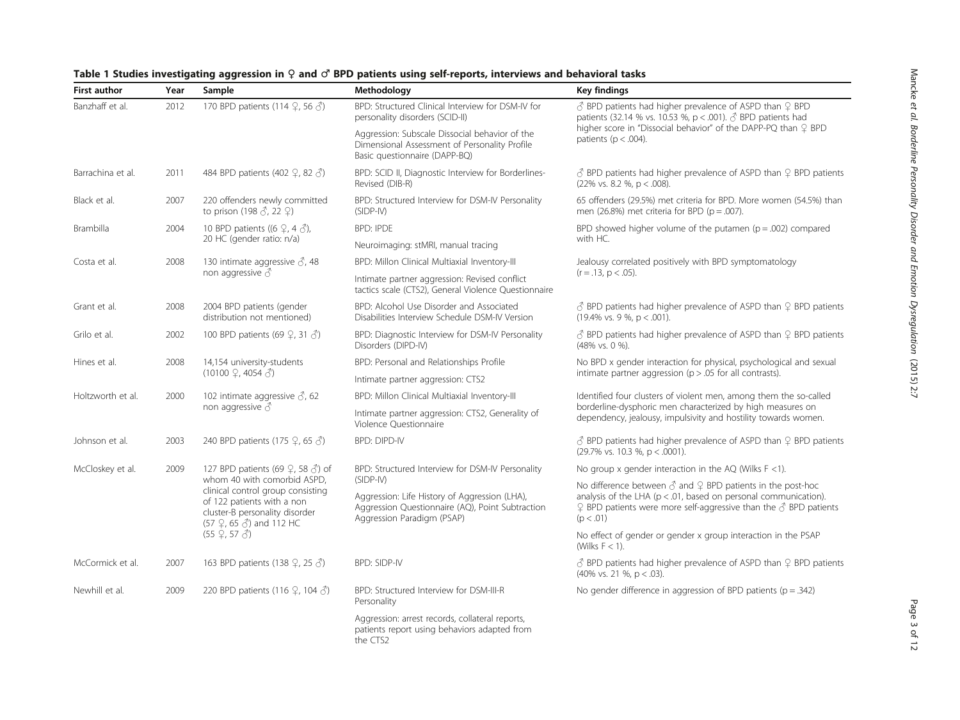| <b>First author</b> | Year | Sample                                                                                                                                                                                                                          | Methodology                                                                                                                      | <b>Key findings</b>                                                                                                                                                                                                                            |
|---------------------|------|---------------------------------------------------------------------------------------------------------------------------------------------------------------------------------------------------------------------------------|----------------------------------------------------------------------------------------------------------------------------------|------------------------------------------------------------------------------------------------------------------------------------------------------------------------------------------------------------------------------------------------|
| Banzhaff et al.     | 2012 | 170 BPD patients (114 ♀, 56 3)                                                                                                                                                                                                  | BPD: Structured Clinical Interview for DSM-IV for<br>personality disorders (SCID-II)                                             | $\beta$ BPD patients had higher prevalence of ASPD than $\varphi$ BPD<br>patients (32.14 % vs. 10.53 %, p < .001). ♂ BPD patients had<br>higher score in "Dissocial behavior" of the DAPP-PQ than $\mathcal Q$ BPD<br>patients ( $p < .004$ ). |
|                     |      |                                                                                                                                                                                                                                 | Aggression: Subscale Dissocial behavior of the<br>Dimensional Assessment of Personality Profile<br>Basic questionnaire (DAPP-BQ) |                                                                                                                                                                                                                                                |
| Barrachina et al.   | 2011 | 484 BPD patients (402 \pin, 82 \dots)                                                                                                                                                                                           | BPD: SCID II, Diagnostic Interview for Borderlines-<br>Revised (DIB-R)                                                           | $\beta$ BPD patients had higher prevalence of ASPD than $\Omega$ BPD patients<br>$(22\% \text{ vs. } 8.2 \% \text{, p} < .008).$                                                                                                               |
| Black et al.        | 2007 | 220 offenders newly committed<br>to prison (198 3, 22 ♀)                                                                                                                                                                        | BPD: Structured Interview for DSM-IV Personality<br>$(SIDP-IV)$                                                                  | 65 offenders (29.5%) met criteria for BPD. More women (54.5%) than<br>men (26.8%) met criteria for BPD ( $p = .007$ ).                                                                                                                         |
| <b>Brambilla</b>    | 2004 | 10 BPD patients ((6 $\downarrow$ , 4 $\uparrow$ ),<br>20 HC (gender ratio: n/a)                                                                                                                                                 | <b>BPD: IPDE</b>                                                                                                                 | BPD showed higher volume of the putamen ( $p = .002$ ) compared<br>with HC.                                                                                                                                                                    |
|                     |      |                                                                                                                                                                                                                                 | Neuroimaging: stMRI, manual tracing                                                                                              |                                                                                                                                                                                                                                                |
| Costa et al.        | 2008 | 130 intimate aggressive $\delta$ , 48<br>non aggressive $\delta$                                                                                                                                                                | BPD: Millon Clinical Multiaxial Inventory-III                                                                                    | Jealousy correlated positively with BPD symptomatology<br>$(r = .13, p < .05)$ .                                                                                                                                                               |
|                     |      |                                                                                                                                                                                                                                 | Intimate partner aggression: Revised conflict<br>tactics scale (CTS2), General Violence Questionnaire                            |                                                                                                                                                                                                                                                |
| Grant et al.        | 2008 | 2004 BPD patients (gender<br>distribution not mentioned)                                                                                                                                                                        | BPD: Alcohol Use Disorder and Associated<br>Disabilities Interview Schedule DSM-IV Version                                       | $\beta$ BPD patients had higher prevalence of ASPD than $\varphi$ BPD patients<br>$(19.4\% \text{ vs. } 9 \% \text{, p} < .001).$                                                                                                              |
| Grilo et al.        | 2002 | 100 BPD patients (69 ♀, 31 3)                                                                                                                                                                                                   | BPD: Diagnostic Interview for DSM-IV Personality<br>Disorders (DIPD-IV)                                                          | $\beta$ BPD patients had higher prevalence of ASPD than $\Omega$ BPD patients<br>(48% vs. 0 %).                                                                                                                                                |
| Hines et al.        | 2008 | 14,154 university-students<br>$(10100 \; 2, 4054 \; \text{J})$                                                                                                                                                                  | BPD: Personal and Relationships Profile                                                                                          | No BPD x gender interaction for physical, psychological and sexual<br>intimate partner aggression ( $p > .05$ for all contrasts).                                                                                                              |
|                     |      |                                                                                                                                                                                                                                 | Intimate partner aggression: CTS2                                                                                                |                                                                                                                                                                                                                                                |
| Holtzworth et al.   | 2000 | 102 intimate aggressive $\delta$ , 62<br>non aggressive $\delta$                                                                                                                                                                | BPD: Millon Clinical Multiaxial Inventory-III                                                                                    | Identified four clusters of violent men, among them the so-called                                                                                                                                                                              |
|                     |      |                                                                                                                                                                                                                                 | Intimate partner aggression: CTS2, Generality of<br>Violence Questionnaire                                                       | borderline-dysphoric men characterized by high measures on<br>dependency, jealousy, impulsivity and hostility towards women.                                                                                                                   |
| Johnson et al.      | 2003 | 240 BPD patients (175 ♀, 65 ♂)                                                                                                                                                                                                  | <b>BPD: DIPD-IV</b>                                                                                                              | $\beta$ BPD patients had higher prevalence of ASPD than $\Omega$ BPD patients<br>$(29.7\% \text{ vs. } 10.3 \% , p < .0001).$                                                                                                                  |
| McCloskey et al.    | 2009 | 127 BPD patients (69 ♀, 58 3) of<br>whom 40 with comorbid ASPD,<br>clinical control group consisting<br>of 122 patients with a non<br>cluster-B personality disorder<br>$(57 \, 2, 65 \, 3)$ and 112 HC<br>$(55 \; 2, 57 \; 3)$ | BPD: Structured Interview for DSM-IV Personality<br>$(SIDP-IV)$                                                                  | No group x gender interaction in the AQ (Wilks $F \le 1$ ).                                                                                                                                                                                    |
|                     |      |                                                                                                                                                                                                                                 |                                                                                                                                  | No difference between $\delta$ and $\Omega$ BPD patients in the post-hoc                                                                                                                                                                       |
|                     |      |                                                                                                                                                                                                                                 | Aggression: Life History of Aggression (LHA),<br>Aggression Questionnaire (AQ), Point Subtraction<br>Aggression Paradigm (PSAP)  | analysis of the LHA ( $p < .01$ , based on personal communication).<br>$\varphi$ BPD patients were more self-aggressive than the $\varphi$ BPD patients<br>(p < .01)                                                                           |
|                     |      |                                                                                                                                                                                                                                 |                                                                                                                                  | No effect of gender or gender x group interaction in the PSAP<br>(Wilks $F < 1$ ).                                                                                                                                                             |
| McCormick et al.    | 2007 | 163 BPD patients (138 ♀, 25 3)                                                                                                                                                                                                  | <b>BPD: SIDP-IV</b>                                                                                                              | $\beta$ BPD patients had higher prevalence of ASPD than $\varphi$ BPD patients<br>$(40\% \text{ vs. } 21 \% , p < .03).$                                                                                                                       |
| Newhill et al.      | 2009 | 220 BPD patients (116 ♀, 104 3)                                                                                                                                                                                                 | BPD: Structured Interview for DSM-III-R<br>Personality                                                                           | No gender difference in aggression of BPD patients ( $p = .342$ )                                                                                                                                                                              |
|                     |      |                                                                                                                                                                                                                                 | Aggression: arrest records, collateral reports,<br>patients report using behaviors adapted from<br>the CTS2                      |                                                                                                                                                                                                                                                |

# <span id="page-2-0"></span>Table 1 Studies investigating aggression in  $\Omega$  and  $\sigma$  BPD patients using self-reports, interviews and behavioral tasks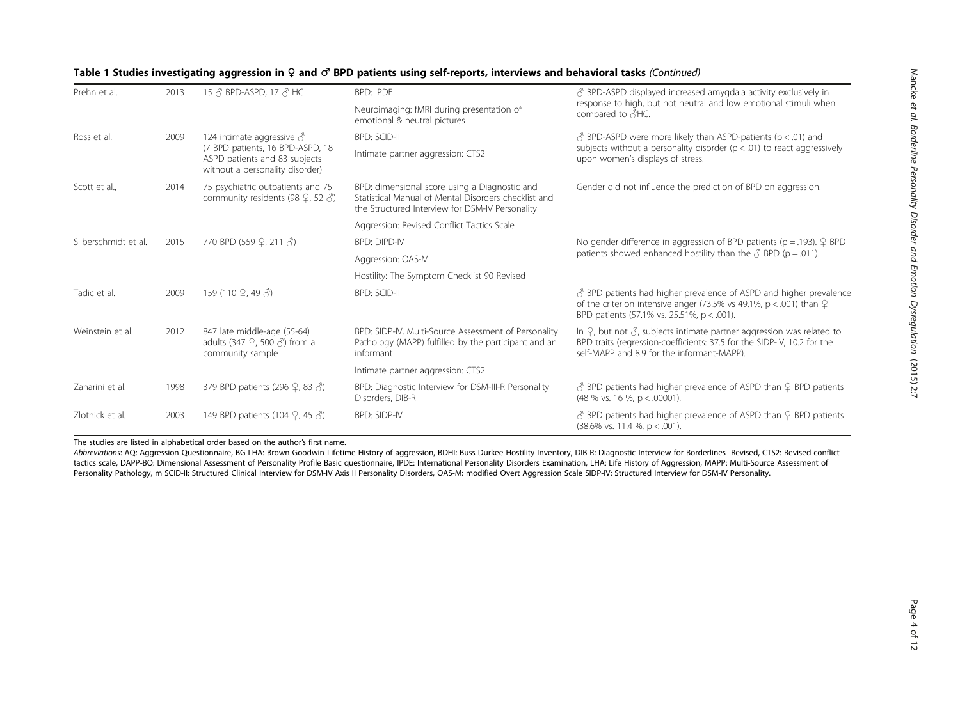#### Table 1 Studies investigating aggression in  $\Omega$  and  $\sigma$  BPD patients using self-reports, interviews and behavioral tasks (Continued)

| Prehn et al.         | 2013 | 15 & BPD-ASPD, 17 & HC                                                                                                                   | <b>BPD: IPDE</b>                                                                                                                                         | $\beta$ BPD-ASPD displayed increased amygdala activity exclusively in<br>response to high, but not neutral and low emotional stimuli when<br>compared to $\partial^2$ HC.                                          |
|----------------------|------|------------------------------------------------------------------------------------------------------------------------------------------|----------------------------------------------------------------------------------------------------------------------------------------------------------|--------------------------------------------------------------------------------------------------------------------------------------------------------------------------------------------------------------------|
|                      |      |                                                                                                                                          | Neuroimaging: fMRI during presentation of<br>emotional & neutral pictures                                                                                |                                                                                                                                                                                                                    |
| Ross et al.          | 2009 | 124 intimate aggressive $\delta$<br>(7 BPD patients, 16 BPD-ASPD, 18<br>ASPD patients and 83 subjects<br>without a personality disorder) | <b>BPD: SCID-II</b>                                                                                                                                      | $\beta$ BPD-ASPD were more likely than ASPD-patients ( $p < .01$ ) and<br>subjects without a personality disorder ( $p < .01$ ) to react aggressively<br>upon women's displays of stress.                          |
|                      |      |                                                                                                                                          | Intimate partner aggression: CTS2                                                                                                                        |                                                                                                                                                                                                                    |
| Scott et al.         | 2014 | 75 psychiatric outpatients and 75<br>community residents (98 $\mathcal{Q}$ , 52 $\mathcal{Z}$ )                                          | BPD: dimensional score using a Diagnostic and<br>Statistical Manual of Mental Disorders checklist and<br>the Structured Interview for DSM-IV Personality | Gender did not influence the prediction of BPD on aggression.                                                                                                                                                      |
|                      |      |                                                                                                                                          | Aggression: Revised Conflict Tactics Scale                                                                                                               |                                                                                                                                                                                                                    |
| Silberschmidt et al. | 2015 | 770 BPD (559 \, 211 3)                                                                                                                   | <b>BPD: DIPD-IV</b>                                                                                                                                      | No gender difference in aggression of BPD patients ( $p = .193$ ). $\circledcirc$ BPD<br>patients showed enhanced hostility than the $\beta$ BPD (p = .011).                                                       |
|                      |      |                                                                                                                                          | Aggression: OAS-M                                                                                                                                        |                                                                                                                                                                                                                    |
|                      |      |                                                                                                                                          | Hostility: The Symptom Checklist 90 Revised                                                                                                              |                                                                                                                                                                                                                    |
| Tadic et al.         | 2009 | 159 (110 $\mathcal{Q}$ , 49 $\mathcal{S}$ )                                                                                              | <b>BPD: SCID-II</b>                                                                                                                                      | $\beta$ BPD patients had higher prevalence of ASPD and higher prevalence<br>of the criterion intensive anger (73.5% vs 49.1%, $p < .001$ ) than $\Omega$<br>BPD patients (57.1% vs. 25.51%, p < .001).             |
| Weinstein et al.     | 2012 | 847 late middle-age (55-64)<br>adults (347 $\mathcal{Q}$ , 500 $\mathcal{Z}$ ) from a<br>community sample                                | BPD: SIDP-IV, Multi-Source Assessment of Personality<br>Pathology (MAPP) fulfilled by the participant and an<br>informant                                | In $\mathcal{Q}$ , but not $\delta$ , subjects intimate partner aggression was related to<br>BPD traits (regression-coefficients: 37.5 for the SIDP-IV, 10.2 for the<br>self-MAPP and 8.9 for the informant-MAPP). |
|                      |      |                                                                                                                                          | Intimate partner aggression: CTS2                                                                                                                        |                                                                                                                                                                                                                    |
| Zanarini et al.      | 1998 | 379 BPD patients (296 ♀, 83 3)                                                                                                           | BPD: Diagnostic Interview for DSM-III-R Personality<br>Disorders, DIB-R                                                                                  | $\beta$ BPD patients had higher prevalence of ASPD than $\mathcal Q$ BPD patients<br>$(48\% \text{ vs. } 16\% \text{, p} < .00001).$                                                                               |
| Zlotnick et al.      | 2003 | 149 BPD patients (104 $\mathcal{Q}$ , 45 $\mathcal{S}$ )                                                                                 | <b>BPD: SIDP-IV</b>                                                                                                                                      | $\beta$ BPD patients had higher prevalence of ASPD than $\Omega$ BPD patients<br>$(38.6\% \text{ vs. } 11.4 \% \text{, } p < .001).$                                                                               |

The studies are listed in alphabetical order based on the author's first name.

Abbreviations: AQ: Aggression Questionnaire, BG-LHA: Brown-Goodwin Lifetime History of aggression, BDHI: Buss-Durkee Hostility Inventory, DIB-R: Diagnostic Interview for Borderlines- Revised, CTS2: Revised conflict tactics scale, DAPP-BQ: Dimensional Assessment of Personality Profile Basic questionnaire, IPDE: International Personality Disorders Examination, LHA: Life History of Aggression, MAPP: Multi-Source Assessment of Personality Pathology, m SCID-II: Structured Clinical Interview for DSM-IV Axis II Personality Disorders, OAS-M: modified Overt Aggression Scale SIDP-IV: Structured Interview for DSM-IV Personality.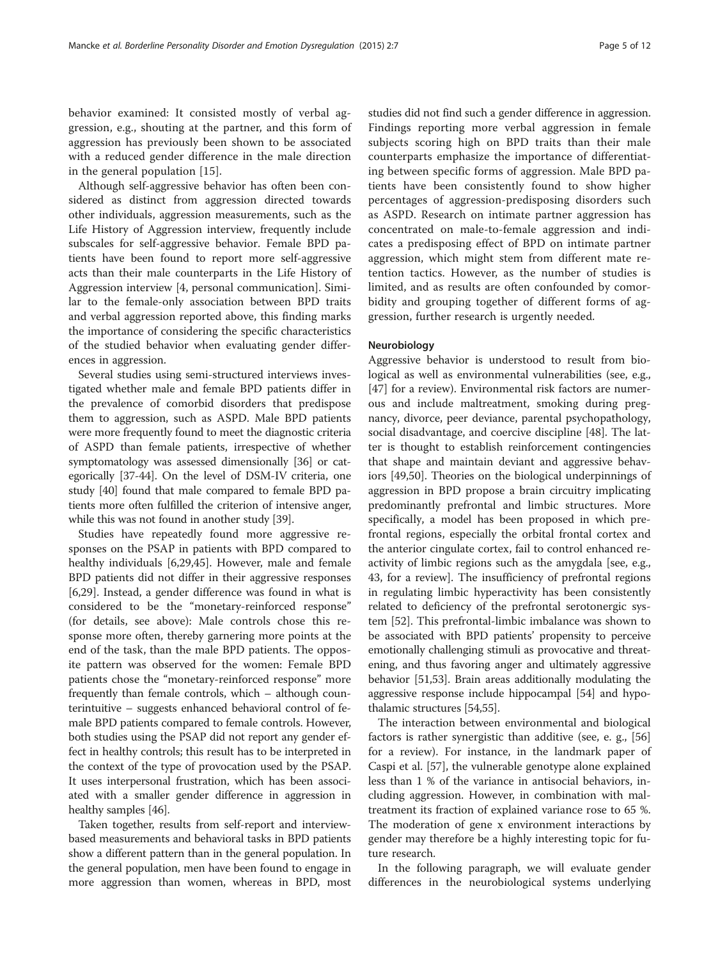behavior examined: It consisted mostly of verbal aggression, e.g., shouting at the partner, and this form of aggression has previously been shown to be associated with a reduced gender difference in the male direction in the general population [\[15](#page-10-0)].

Although self-aggressive behavior has often been considered as distinct from aggression directed towards other individuals, aggression measurements, such as the Life History of Aggression interview, frequently include subscales for self-aggressive behavior. Female BPD patients have been found to report more self-aggressive acts than their male counterparts in the Life History of Aggression interview [4, personal communication]. Similar to the female-only association between BPD traits and verbal aggression reported above, this finding marks the importance of considering the specific characteristics of the studied behavior when evaluating gender differences in aggression.

Several studies using semi-structured interviews investigated whether male and female BPD patients differ in the prevalence of comorbid disorders that predispose them to aggression, such as ASPD. Male BPD patients were more frequently found to meet the diagnostic criteria of ASPD than female patients, irrespective of whether symptomatology was assessed dimensionally [[36](#page-10-0)] or categorically [\[37-44\]](#page-10-0). On the level of DSM-IV criteria, one study [[40](#page-10-0)] found that male compared to female BPD patients more often fulfilled the criterion of intensive anger, while this was not found in another study [[39](#page-10-0)].

Studies have repeatedly found more aggressive responses on the PSAP in patients with BPD compared to healthy individuals [\[6](#page-9-0)[,29,45](#page-10-0)]. However, male and female BPD patients did not differ in their aggressive responses [[6,](#page-9-0)[29\]](#page-10-0). Instead, a gender difference was found in what is considered to be the "monetary-reinforced response" (for details, see above): Male controls chose this response more often, thereby garnering more points at the end of the task, than the male BPD patients. The opposite pattern was observed for the women: Female BPD patients chose the "monetary-reinforced response" more frequently than female controls, which – although counterintuitive – suggests enhanced behavioral control of female BPD patients compared to female controls. However, both studies using the PSAP did not report any gender effect in healthy controls; this result has to be interpreted in the context of the type of provocation used by the PSAP. It uses interpersonal frustration, which has been associated with a smaller gender difference in aggression in healthy samples [[46](#page-10-0)].

Taken together, results from self-report and interviewbased measurements and behavioral tasks in BPD patients show a different pattern than in the general population. In the general population, men have been found to engage in more aggression than women, whereas in BPD, most

studies did not find such a gender difference in aggression. Findings reporting more verbal aggression in female subjects scoring high on BPD traits than their male counterparts emphasize the importance of differentiating between specific forms of aggression. Male BPD patients have been consistently found to show higher percentages of aggression-predisposing disorders such as ASPD. Research on intimate partner aggression has concentrated on male-to-female aggression and indicates a predisposing effect of BPD on intimate partner aggression, which might stem from different mate retention tactics. However, as the number of studies is limited, and as results are often confounded by comorbidity and grouping together of different forms of aggression, further research is urgently needed.

## Neurobiology

Aggressive behavior is understood to result from biological as well as environmental vulnerabilities (see, e.g., [[47\]](#page-10-0) for a review). Environmental risk factors are numerous and include maltreatment, smoking during pregnancy, divorce, peer deviance, parental psychopathology, social disadvantage, and coercive discipline [[48](#page-10-0)]. The latter is thought to establish reinforcement contingencies that shape and maintain deviant and aggressive behaviors [\[49,50](#page-10-0)]. Theories on the biological underpinnings of aggression in BPD propose a brain circuitry implicating predominantly prefrontal and limbic structures. More specifically, a model has been proposed in which prefrontal regions, especially the orbital frontal cortex and the anterior cingulate cortex, fail to control enhanced reactivity of limbic regions such as the amygdala [see, e.g., 43, for a review]. The insufficiency of prefrontal regions in regulating limbic hyperactivity has been consistently related to deficiency of the prefrontal serotonergic system [[52](#page-10-0)]. This prefrontal-limbic imbalance was shown to be associated with BPD patients' propensity to perceive emotionally challenging stimuli as provocative and threatening, and thus favoring anger and ultimately aggressive behavior [\[51,53](#page-10-0)]. Brain areas additionally modulating the aggressive response include hippocampal [[54](#page-10-0)] and hypothalamic structures [\[54,55](#page-10-0)].

The interaction between environmental and biological factors is rather synergistic than additive (see, e. g., [[56](#page-10-0)] for a review). For instance, in the landmark paper of Caspi et al. [[57\]](#page-10-0), the vulnerable genotype alone explained less than 1 % of the variance in antisocial behaviors, including aggression. However, in combination with maltreatment its fraction of explained variance rose to 65 %. The moderation of gene x environment interactions by gender may therefore be a highly interesting topic for future research.

In the following paragraph, we will evaluate gender differences in the neurobiological systems underlying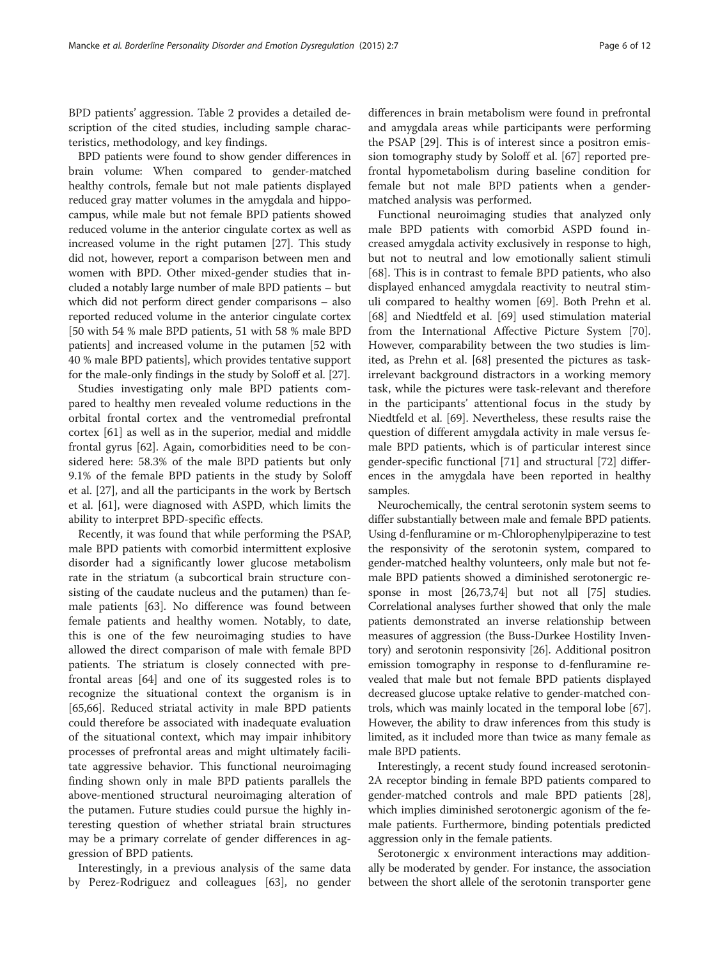BPD patients' aggression. Table [2](#page-6-0) provides a detailed description of the cited studies, including sample characteristics, methodology, and key findings.

BPD patients were found to show gender differences in brain volume: When compared to gender-matched healthy controls, female but not male patients displayed reduced gray matter volumes in the amygdala and hippocampus, while male but not female BPD patients showed reduced volume in the anterior cingulate cortex as well as increased volume in the right putamen [[27](#page-10-0)]. This study did not, however, report a comparison between men and women with BPD. Other mixed-gender studies that included a notably large number of male BPD patients – but which did not perform direct gender comparisons – also reported reduced volume in the anterior cingulate cortex [50 with 54 % male BPD patients, 51 with 58 % male BPD patients] and increased volume in the putamen [52 with 40 % male BPD patients], which provides tentative support for the male-only findings in the study by Soloff et al. [[27](#page-10-0)].

Studies investigating only male BPD patients compared to healthy men revealed volume reductions in the orbital frontal cortex and the ventromedial prefrontal cortex [[61\]](#page-10-0) as well as in the superior, medial and middle frontal gyrus [\[62\]](#page-10-0). Again, comorbidities need to be considered here: 58.3% of the male BPD patients but only 9.1% of the female BPD patients in the study by Soloff et al. [\[27](#page-10-0)], and all the participants in the work by Bertsch et al. [\[61\]](#page-10-0), were diagnosed with ASPD, which limits the ability to interpret BPD-specific effects.

Recently, it was found that while performing the PSAP, male BPD patients with comorbid intermittent explosive disorder had a significantly lower glucose metabolism rate in the striatum (a subcortical brain structure consisting of the caudate nucleus and the putamen) than female patients [[63](#page-10-0)]. No difference was found between female patients and healthy women. Notably, to date, this is one of the few neuroimaging studies to have allowed the direct comparison of male with female BPD patients. The striatum is closely connected with prefrontal areas [[64](#page-11-0)] and one of its suggested roles is to recognize the situational context the organism is in [[65,66\]](#page-11-0). Reduced striatal activity in male BPD patients could therefore be associated with inadequate evaluation of the situational context, which may impair inhibitory processes of prefrontal areas and might ultimately facilitate aggressive behavior. This functional neuroimaging finding shown only in male BPD patients parallels the above-mentioned structural neuroimaging alteration of the putamen. Future studies could pursue the highly interesting question of whether striatal brain structures may be a primary correlate of gender differences in aggression of BPD patients.

Interestingly, in a previous analysis of the same data by Perez-Rodriguez and colleagues [\[63](#page-10-0)], no gender differences in brain metabolism were found in prefrontal and amygdala areas while participants were performing the PSAP [[29\]](#page-10-0). This is of interest since a positron emission tomography study by Soloff et al. [[67](#page-11-0)] reported prefrontal hypometabolism during baseline condition for female but not male BPD patients when a gendermatched analysis was performed.

Functional neuroimaging studies that analyzed only male BPD patients with comorbid ASPD found increased amygdala activity exclusively in response to high, but not to neutral and low emotionally salient stimuli [[68\]](#page-11-0). This is in contrast to female BPD patients, who also displayed enhanced amygdala reactivity to neutral stimuli compared to healthy women [[69\]](#page-11-0). Both Prehn et al. [[68\]](#page-11-0) and Niedtfeld et al. [[69](#page-11-0)] used stimulation material from the International Affective Picture System [\[70](#page-11-0)]. However, comparability between the two studies is limited, as Prehn et al. [[68](#page-11-0)] presented the pictures as taskirrelevant background distractors in a working memory task, while the pictures were task-relevant and therefore in the participants' attentional focus in the study by Niedtfeld et al. [[69](#page-11-0)]. Nevertheless, these results raise the question of different amygdala activity in male versus female BPD patients, which is of particular interest since gender-specific functional [\[71\]](#page-11-0) and structural [\[72](#page-11-0)] differences in the amygdala have been reported in healthy samples.

Neurochemically, the central serotonin system seems to differ substantially between male and female BPD patients. Using d-fenfluramine or m-Chlorophenylpiperazine to test the responsivity of the serotonin system, compared to gender-matched healthy volunteers, only male but not female BPD patients showed a diminished serotonergic response in most [\[26](#page-10-0)[,73,74\]](#page-11-0) but not all [[75](#page-11-0)] studies. Correlational analyses further showed that only the male patients demonstrated an inverse relationship between measures of aggression (the Buss-Durkee Hostility Inventory) and serotonin responsivity [\[26\]](#page-10-0). Additional positron emission tomography in response to d-fenfluramine revealed that male but not female BPD patients displayed decreased glucose uptake relative to gender-matched controls, which was mainly located in the temporal lobe [[67](#page-11-0)]. However, the ability to draw inferences from this study is limited, as it included more than twice as many female as male BPD patients.

Interestingly, a recent study found increased serotonin-2A receptor binding in female BPD patients compared to gender-matched controls and male BPD patients [[28](#page-10-0)], which implies diminished serotonergic agonism of the female patients. Furthermore, binding potentials predicted aggression only in the female patients.

Serotonergic x environment interactions may additionally be moderated by gender. For instance, the association between the short allele of the serotonin transporter gene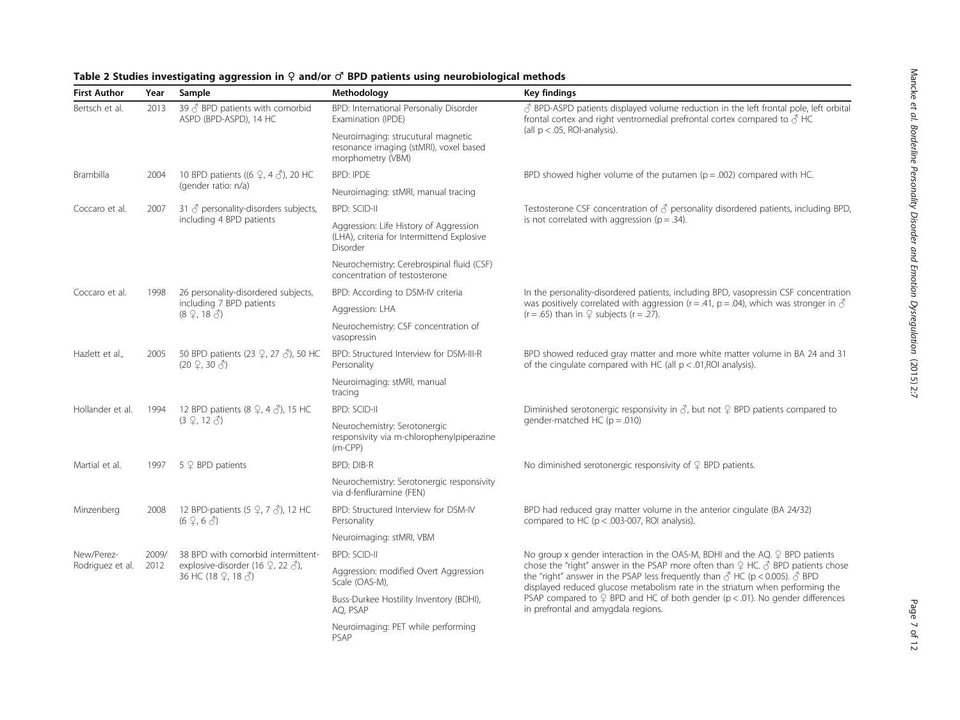| <b>First Author</b>            | Year  | Sample                                                                                                             | Methodology                                                                                       | <b>Key findings</b>                                                                                                                                                                                                                                                                                                                                                        |
|--------------------------------|-------|--------------------------------------------------------------------------------------------------------------------|---------------------------------------------------------------------------------------------------|----------------------------------------------------------------------------------------------------------------------------------------------------------------------------------------------------------------------------------------------------------------------------------------------------------------------------------------------------------------------------|
| Bertsch et al.                 | 2013  | 39 $\delta$ BPD patients with comorbid<br>ASPD (BPD-ASPD), 14 HC                                                   | BPD: International Personaliy Disorder<br>Examination (IPDE)                                      | ♂ BPD-ASPD patients displayed volume reduction in the left frontal pole, left orbital<br>frontal cortex and right ventromedial prefrontal cortex compared to $\partial$ HC<br>(all $p < .05$ , ROI-analysis).                                                                                                                                                              |
|                                |       |                                                                                                                    | Neuroimaging: strucutural magnetic<br>resonance imaging (stMRI), voxel based<br>morphometry (VBM) |                                                                                                                                                                                                                                                                                                                                                                            |
| <b>Brambilla</b>               | 2004  | 10 BPD patients ((6 ♀, 4 ♂), 20 HC<br>(gender ratio: n/a)                                                          | <b>BPD: IPDE</b>                                                                                  | BPD showed higher volume of the putamen ( $p = .002$ ) compared with HC.                                                                                                                                                                                                                                                                                                   |
|                                |       |                                                                                                                    | Neuroimaging: stMRI, manual tracing                                                               |                                                                                                                                                                                                                                                                                                                                                                            |
| Coccaro et al.                 | 2007  | 31 $\delta$ personality-disorders subjects,<br>including 4 BPD patients                                            | <b>BPD: SCID-II</b>                                                                               | Testosterone CSF concentration of $\delta$ personality disordered patients, including BPD,                                                                                                                                                                                                                                                                                 |
|                                |       |                                                                                                                    | Aggression: Life History of Aggression<br>(LHA), criteria for Intermittend Explosive<br>Disorder  | is not correlated with aggression ( $p = .34$ ).                                                                                                                                                                                                                                                                                                                           |
|                                |       |                                                                                                                    | Neurochemistry: Cerebrospinal fluid (CSF)<br>concentration of testosterone                        |                                                                                                                                                                                                                                                                                                                                                                            |
| Coccaro et al.                 | 1998  | 26 personality-disordered subjects,<br>including 7 BPD patients<br>$(8 \, \textcircled{2}, 18 \, \textcircled{3})$ | BPD: According to DSM-IV criteria                                                                 | In the personality-disordered patients, including BPD, vasopressin CSF concentration                                                                                                                                                                                                                                                                                       |
|                                |       |                                                                                                                    | Aggression: LHA                                                                                   | was positively correlated with aggression ( $r = .41$ , $p = .04$ ), which was stronger in $\sqrt{3}$<br>$(r = .65)$ than in $\Omega$ subjects $(r = .27)$ .                                                                                                                                                                                                               |
|                                |       |                                                                                                                    | Neurochemistry: CSF concentration of<br>vasopressin                                               |                                                                                                                                                                                                                                                                                                                                                                            |
| Hazlett et al.,                | 2005  | 50 BPD patients (23 ♀, 27 3), 50 HC<br>$(20 \, \Omega, 30 \, \text{J})$                                            | BPD: Structured Interview for DSM-III-R<br>Personality                                            | BPD showed reduced gray matter and more white matter volume in BA 24 and 31<br>of the cinqulate compared with HC (all $p < .01$ , ROI analysis).                                                                                                                                                                                                                           |
|                                |       |                                                                                                                    | Neuroimaging: stMRI, manual<br>tracing                                                            |                                                                                                                                                                                                                                                                                                                                                                            |
| Hollander et al.               | 1994  | 12 BPD patients (8 $\downarrow$ , 4 $\uparrow$ ), 15 HC<br>$(3 \, 9, 12 \, 3)$                                     | <b>BPD: SCID-II</b>                                                                               | Diminished serotonergic responsivity in $\beta$ , but not $\varphi$ BPD patients compared to                                                                                                                                                                                                                                                                               |
|                                |       |                                                                                                                    | Neurochemistry: Serotonergic<br>responsivity via m-chlorophenylpiperazine<br>$(m$ -CPP $)$        | gender-matched HC ( $p = .010$ )                                                                                                                                                                                                                                                                                                                                           |
| Martial et al.                 | 1997  | $5 \nsubseteq$ BPD patients                                                                                        | BPD: DIB-R                                                                                        | No diminished serotonergic responsivity of $\mathcal{Q}$ BPD patients.                                                                                                                                                                                                                                                                                                     |
|                                |       |                                                                                                                    | Neurochemistry: Serotonergic responsivity<br>via d-fenfluramine (FEN)                             |                                                                                                                                                                                                                                                                                                                                                                            |
| Minzenberg                     | 2008  | 12 BPD-patients (5 <sup>2</sup> , 7 3 <sup>2</sup> ), 12 HC<br>$(6 \nvert 2, 6 \nvert \mathcal{S})$                | BPD: Structured Interview for DSM-IV<br>Personality                                               | BPD had reduced gray matter volume in the anterior cingulate (BA 24/32)<br>compared to HC ( $p < .003-007$ , ROI analysis).                                                                                                                                                                                                                                                |
|                                |       |                                                                                                                    | Neuroimaging: stMRI, VBM                                                                          |                                                                                                                                                                                                                                                                                                                                                                            |
| New/Perez-<br>Rodriguez et al. | 2009/ | 38 BPD with comorbid intermittent-<br>explosive-disorder (16 $\varphi$ , 22 $\vartheta$ ),<br>36 HC (18 ♀, 18 3)   | <b>BPD: SCID-II</b>                                                                               | No group x gender interaction in the OAS-M, BDHI and the AQ. $\circ$ BPD patients<br>chose the "right" answer in the PSAP more often than $\mathcal{Q}$ HC. $\mathcal{J}$ BPD patients chose<br>the "right" answer in the PSAP less frequently than $\delta$ HC (p < 0.005). $\delta$ BPD<br>displayed reduced glucose metabolism rate in the striatum when performing the |
|                                | 2012  |                                                                                                                    | Aggression: modified Overt Aggression<br>Scale (OAS-M),                                           |                                                                                                                                                                                                                                                                                                                                                                            |
|                                |       |                                                                                                                    | Buss-Durkee Hostility Inventory (BDHI),<br>AQ, PSAP                                               | PSAP compared to $\frac{1}{2}$ BPD and HC of both gender (p < .01). No gender differences<br>in prefrontal and amygdala regions.                                                                                                                                                                                                                                           |
|                                |       |                                                                                                                    | Neuroimaging: PET while performing<br><b>PSAP</b>                                                 |                                                                                                                                                                                                                                                                                                                                                                            |

# <span id="page-6-0"></span>Table 2 Studies investigating aggression in  $\Omega$  and/or  $\sigma$  BPD patients using neurobiological methods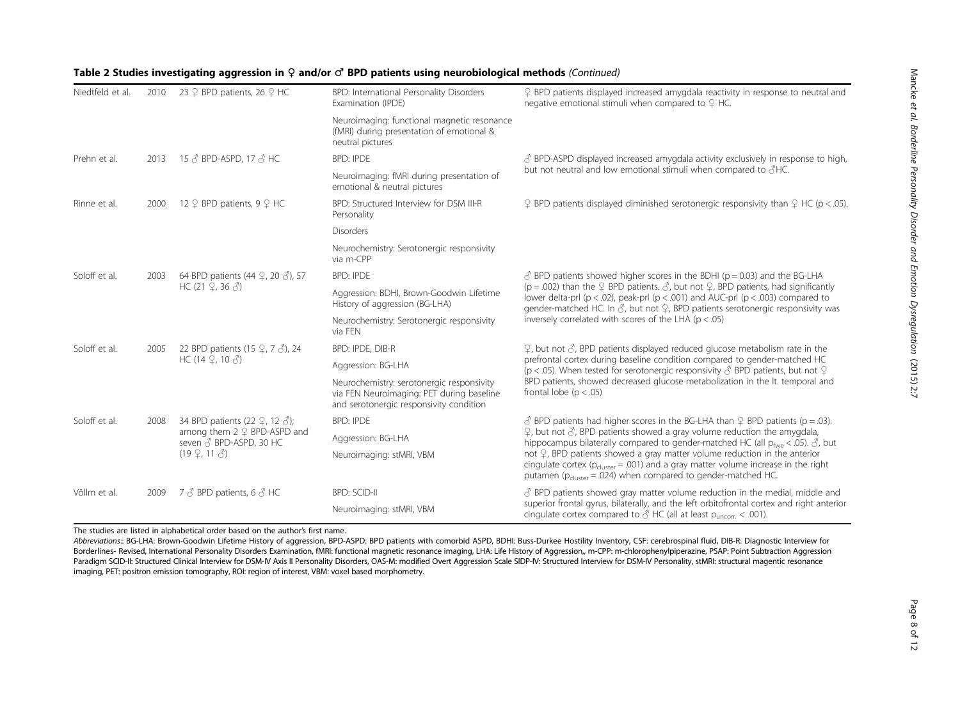#### Table 2 Studies investigating aggression in ♀ and/or ♂ BPD patients using neurobiological methods (Continued)

| Niedtfeld et al.      | 2010 | 23 $\circ$ BPD patients, 26 $\circ$ HC                                                                                                 | BPD: International Personality Disorders<br>Examination (IPDE)                                               | $\Omega$ BPD patients displayed increased amygdala reactivity in response to neutral and<br>negative emotional stimuli when compared to $\mathcal Q$ HC.                                                                                                                                                                                                                                                                                                                                                                                                            |
|-----------------------|------|----------------------------------------------------------------------------------------------------------------------------------------|--------------------------------------------------------------------------------------------------------------|---------------------------------------------------------------------------------------------------------------------------------------------------------------------------------------------------------------------------------------------------------------------------------------------------------------------------------------------------------------------------------------------------------------------------------------------------------------------------------------------------------------------------------------------------------------------|
|                       |      |                                                                                                                                        | Neuroimaging: functional magnetic resonance<br>(fMRI) during presentation of emotional &<br>neutral pictures |                                                                                                                                                                                                                                                                                                                                                                                                                                                                                                                                                                     |
| Prehn et al.          | 2013 | 15 & BPD-ASPD, 17 & HC                                                                                                                 | <b>BPD: IPDE</b>                                                                                             | $\beta$ BPD-ASPD displayed increased amygdala activity exclusively in response to high,<br>but not neutral and low emotional stimuli when compared to $\beta$ HC.                                                                                                                                                                                                                                                                                                                                                                                                   |
|                       |      |                                                                                                                                        | Neuroimaging: fMRI during presentation of<br>emotional & neutral pictures                                    |                                                                                                                                                                                                                                                                                                                                                                                                                                                                                                                                                                     |
| Rinne et al.          | 2000 | 12 Q BPD patients, 9 Q HC                                                                                                              | BPD: Structured Interview for DSM III-R<br>Personality                                                       | $\varphi$ BPD patients displayed diminished serotonergic responsivity than $\varphi$ HC (p < .05).                                                                                                                                                                                                                                                                                                                                                                                                                                                                  |
|                       |      |                                                                                                                                        | Disorders                                                                                                    |                                                                                                                                                                                                                                                                                                                                                                                                                                                                                                                                                                     |
|                       |      |                                                                                                                                        | Neurochemistry: Serotonergic responsivity<br>via m-CPP                                                       |                                                                                                                                                                                                                                                                                                                                                                                                                                                                                                                                                                     |
| Soloff et al.<br>2003 |      | 64 BPD patients (44 ♀, 20 ♂), 57<br>HC (21 $\mathcal{Q}$ , 36 $\mathcal{Z}$ )                                                          | <b>BPD: IPDE</b>                                                                                             | $\beta$ BPD patients showed higher scores in the BDHI (p = 0.03) and the BG-LHA                                                                                                                                                                                                                                                                                                                                                                                                                                                                                     |
|                       |      |                                                                                                                                        | Aggression: BDHI, Brown-Goodwin Lifetime<br>History of aggression (BG-LHA)                                   | (p = .002) than the $\varphi$ BPD patients. $\varphi$ , but not $\varphi$ , BPD patients, had significantly<br>lower delta-prl ( $p < .02$ ), peak-prl ( $p < .001$ ) and AUC-prl ( $p < .003$ ) compared to<br>gender-matched HC. In $\delta$ , but not $\Omega$ , BPD patients serotonergic responsivity was<br>inversely correlated with scores of the LHA ( $p < .05$ )                                                                                                                                                                                         |
|                       |      |                                                                                                                                        | Neurochemistry: Serotonergic responsivity<br>via FEN                                                         |                                                                                                                                                                                                                                                                                                                                                                                                                                                                                                                                                                     |
| Soloff et al.<br>2005 |      | 22 BPD patients (15 ♀, 7 ♂), 24<br>HC (14 $\mathcal{Q}$ , 10 $\mathcal{S}$ )                                                           | BPD: IPDE, DIB-R                                                                                             | $\mathcal{Q}$ , but not $\mathcal{S}$ , BPD patients displayed reduced glucose metabolism rate in the                                                                                                                                                                                                                                                                                                                                                                                                                                                               |
|                       |      |                                                                                                                                        | Aggression: BG-LHA                                                                                           | prefrontal cortex during baseline condition compared to gender-matched HC<br>(p < .05). When tested for serotonergic responsivity $\beta$ BPD patients, but not $\mathcal{Q}$                                                                                                                                                                                                                                                                                                                                                                                       |
|                       |      | Neurochemistry: serotonergic responsivity<br>via FEN Neuroimaging: PET during baseline<br>and serotonergic responsivity condition      | BPD patients, showed decreased glucose metabolization in the lt. temporal and<br>frontal lobe ( $p < .05$ )  |                                                                                                                                                                                                                                                                                                                                                                                                                                                                                                                                                                     |
| Soloff et al.         | 2008 | 34 BPD patients (22 <sup>2</sup> , 12 3);<br>among them $2 \nsubseteq$ BPD-ASPD and<br>seven & BPD-ASPD, 30 HC<br>$(19 \; 2, 11 \; 3)$ | <b>BPD: IPDE</b>                                                                                             | $\circ$ BPD patients had higher scores in the BG-LHA than $\circ$ BPD patients (p = .03).<br>$\mathcal{Q}$ , but not $\mathcal{J}$ , BPD patients showed a gray volume reduction the amygdala,<br>hippocampus bilaterally compared to gender-matched HC (all $p_{\text{fwe}} < .05$ ). $\delta$ , but<br>not $\mathcal{Q}$ , BPD patients showed a gray matter volume reduction in the anterior<br>cingulate cortex ( $p_{cluster} = .001$ ) and a gray matter volume increase in the right<br>putamen ( $p_{cluster} = .024$ ) when compared to gender-matched HC. |
|                       |      |                                                                                                                                        | Aggression: BG-LHA                                                                                           |                                                                                                                                                                                                                                                                                                                                                                                                                                                                                                                                                                     |
|                       |      |                                                                                                                                        | Neuroimaging: stMRI, VBM                                                                                     |                                                                                                                                                                                                                                                                                                                                                                                                                                                                                                                                                                     |
| Völlm et al.          | 2009 | 7 $\beta$ BPD patients, 6 $\beta$ HC                                                                                                   | <b>BPD: SCID-II</b>                                                                                          | $\beta$ BPD patients showed gray matter volume reduction in the medial, middle and                                                                                                                                                                                                                                                                                                                                                                                                                                                                                  |
|                       |      |                                                                                                                                        | Neuroimaging: stMRI, VBM                                                                                     | superior frontal gyrus, bilaterally, and the left orbitofrontal cortex and right anterior<br>cinqulate cortex compared to $\beta$ HC (all at least $p_{\text{uncorr}} < .001$ ).                                                                                                                                                                                                                                                                                                                                                                                    |

The studies are listed in alphabetical order based on the author's first name.

Abbreviations:: BG-LHA: Brown-Goodwin Lifetime History of aggression, BPD-ASPD: BPD patients with comorbid ASPD, BDHI: Buss-Durkee Hostility Inventory, CSF: cerebrospinal fluid, DIB-R: Diagnostic Interview for Borderlines- Revised, International Personality Disorders Examination, fMRI: functional magnetic resonance imaging, LHA: Life History of Aggression,, m-CPP: m-chlorophenylpiperazine, PSAP: Point Subtraction Aggression Paradigm SCID-II: Structured Clinical Interview for DSM-IV Axis II Personality Disorders, OAS-M: modified Overt Aggression Scale SIDP-IV: Structured Interview for DSM-IV Personality, stMRI: structural magentic resonance imaging, PET: positron emission tomography, ROI: region of interest, VBM: voxel based morphometry.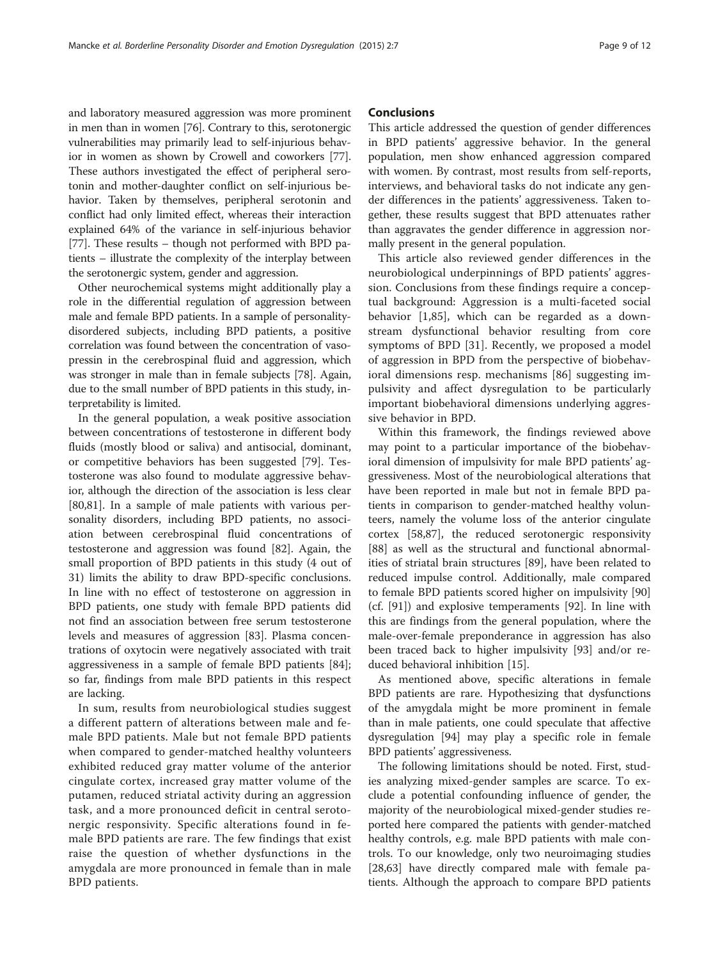and laboratory measured aggression was more prominent in men than in women [[76](#page-11-0)]. Contrary to this, serotonergic vulnerabilities may primarily lead to self-injurious behavior in women as shown by Crowell and coworkers [[77](#page-11-0)]. These authors investigated the effect of peripheral serotonin and mother-daughter conflict on self-injurious behavior. Taken by themselves, peripheral serotonin and conflict had only limited effect, whereas their interaction explained 64% of the variance in self-injurious behavior [[77](#page-11-0)]. These results – though not performed with BPD patients – illustrate the complexity of the interplay between the serotonergic system, gender and aggression.

Other neurochemical systems might additionally play a role in the differential regulation of aggression between male and female BPD patients. In a sample of personalitydisordered subjects, including BPD patients, a positive correlation was found between the concentration of vasopressin in the cerebrospinal fluid and aggression, which was stronger in male than in female subjects [[78](#page-11-0)]. Again, due to the small number of BPD patients in this study, interpretability is limited.

In the general population, a weak positive association between concentrations of testosterone in different body fluids (mostly blood or saliva) and antisocial, dominant, or competitive behaviors has been suggested [[79\]](#page-11-0). Testosterone was also found to modulate aggressive behavior, although the direction of the association is less clear [[80,81\]](#page-11-0). In a sample of male patients with various personality disorders, including BPD patients, no association between cerebrospinal fluid concentrations of testosterone and aggression was found [[82\]](#page-11-0). Again, the small proportion of BPD patients in this study (4 out of 31) limits the ability to draw BPD-specific conclusions. In line with no effect of testosterone on aggression in BPD patients, one study with female BPD patients did not find an association between free serum testosterone levels and measures of aggression [[83\]](#page-11-0). Plasma concentrations of oxytocin were negatively associated with trait aggressiveness in a sample of female BPD patients [\[84](#page-11-0)]; so far, findings from male BPD patients in this respect are lacking.

In sum, results from neurobiological studies suggest a different pattern of alterations between male and female BPD patients. Male but not female BPD patients when compared to gender-matched healthy volunteers exhibited reduced gray matter volume of the anterior cingulate cortex, increased gray matter volume of the putamen, reduced striatal activity during an aggression task, and a more pronounced deficit in central serotonergic responsivity. Specific alterations found in female BPD patients are rare. The few findings that exist raise the question of whether dysfunctions in the amygdala are more pronounced in female than in male BPD patients.

#### Conclusions

This article addressed the question of gender differences in BPD patients' aggressive behavior. In the general population, men show enhanced aggression compared with women. By contrast, most results from self-reports, interviews, and behavioral tasks do not indicate any gender differences in the patients' aggressiveness. Taken together, these results suggest that BPD attenuates rather than aggravates the gender difference in aggression normally present in the general population.

This article also reviewed gender differences in the neurobiological underpinnings of BPD patients' aggression. Conclusions from these findings require a conceptual background: Aggression is a multi-faceted social behavior [[1,](#page-9-0)[85\]](#page-11-0), which can be regarded as a downstream dysfunctional behavior resulting from core symptoms of BPD [[31\]](#page-10-0). Recently, we proposed a model of aggression in BPD from the perspective of biobehavioral dimensions resp. mechanisms [[86\]](#page-11-0) suggesting impulsivity and affect dysregulation to be particularly important biobehavioral dimensions underlying aggressive behavior in BPD.

Within this framework, the findings reviewed above may point to a particular importance of the biobehavioral dimension of impulsivity for male BPD patients' aggressiveness. Most of the neurobiological alterations that have been reported in male but not in female BPD patients in comparison to gender-matched healthy volunteers, namely the volume loss of the anterior cingulate cortex [\[58](#page-10-0)[,87\]](#page-11-0), the reduced serotonergic responsivity [[88\]](#page-11-0) as well as the structural and functional abnormalities of striatal brain structures [\[89](#page-11-0)], have been related to reduced impulse control. Additionally, male compared to female BPD patients scored higher on impulsivity [[90](#page-11-0)] (cf. [\[91](#page-11-0)]) and explosive temperaments [\[92\]](#page-11-0). In line with this are findings from the general population, where the male-over-female preponderance in aggression has also been traced back to higher impulsivity [\[93](#page-11-0)] and/or reduced behavioral inhibition [[15\]](#page-10-0).

As mentioned above, specific alterations in female BPD patients are rare. Hypothesizing that dysfunctions of the amygdala might be more prominent in female than in male patients, one could speculate that affective dysregulation [\[94\]](#page-11-0) may play a specific role in female BPD patients' aggressiveness.

The following limitations should be noted. First, studies analyzing mixed-gender samples are scarce. To exclude a potential confounding influence of gender, the majority of the neurobiological mixed-gender studies reported here compared the patients with gender-matched healthy controls, e.g. male BPD patients with male controls. To our knowledge, only two neuroimaging studies [[28,63\]](#page-10-0) have directly compared male with female patients. Although the approach to compare BPD patients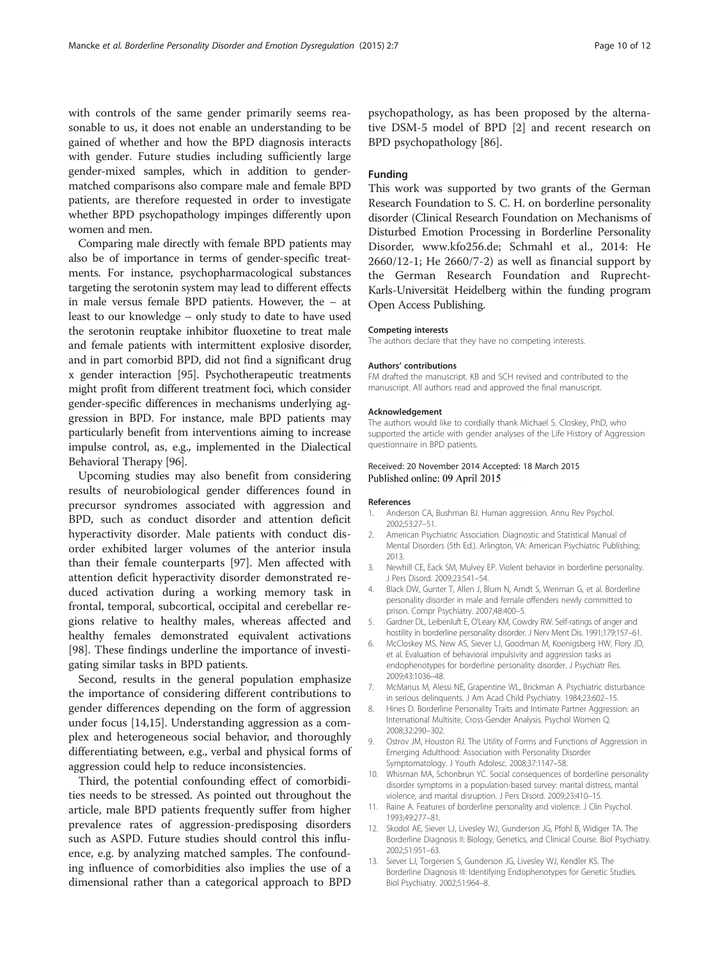<span id="page-9-0"></span>with controls of the same gender primarily seems reasonable to us, it does not enable an understanding to be gained of whether and how the BPD diagnosis interacts with gender. Future studies including sufficiently large gender-mixed samples, which in addition to gendermatched comparisons also compare male and female BPD patients, are therefore requested in order to investigate whether BPD psychopathology impinges differently upon women and men.

Comparing male directly with female BPD patients may also be of importance in terms of gender-specific treatments. For instance, psychopharmacological substances targeting the serotonin system may lead to different effects in male versus female BPD patients. However, the – at least to our knowledge – only study to date to have used the serotonin reuptake inhibitor fluoxetine to treat male and female patients with intermittent explosive disorder, and in part comorbid BPD, did not find a significant drug x gender interaction [[95\]](#page-11-0). Psychotherapeutic treatments might profit from different treatment foci, which consider gender-specific differences in mechanisms underlying aggression in BPD. For instance, male BPD patients may particularly benefit from interventions aiming to increase impulse control, as, e.g., implemented in the Dialectical Behavioral Therapy [\[96\]](#page-11-0).

Upcoming studies may also benefit from considering results of neurobiological gender differences found in precursor syndromes associated with aggression and BPD, such as conduct disorder and attention deficit hyperactivity disorder. Male patients with conduct disorder exhibited larger volumes of the anterior insula than their female counterparts [[97](#page-11-0)]. Men affected with attention deficit hyperactivity disorder demonstrated reduced activation during a working memory task in frontal, temporal, subcortical, occipital and cerebellar regions relative to healthy males, whereas affected and healthy females demonstrated equivalent activations [[98\]](#page-11-0). These findings underline the importance of investigating similar tasks in BPD patients.

Second, results in the general population emphasize the importance of considering different contributions to gender differences depending on the form of aggression under focus [\[14,15](#page-10-0)]. Understanding aggression as a complex and heterogeneous social behavior, and thoroughly differentiating between, e.g., verbal and physical forms of aggression could help to reduce inconsistencies.

Third, the potential confounding effect of comorbidities needs to be stressed. As pointed out throughout the article, male BPD patients frequently suffer from higher prevalence rates of aggression-predisposing disorders such as ASPD. Future studies should control this influence, e.g. by analyzing matched samples. The confounding influence of comorbidities also implies the use of a dimensional rather than a categorical approach to BPD psychopathology, as has been proposed by the alternative DSM-5 model of BPD [2] and recent research on BPD psychopathology [\[86](#page-11-0)].

#### Funding

This work was supported by two grants of the German Research Foundation to S. C. H. on borderline personality disorder (Clinical Research Foundation on Mechanisms of Disturbed Emotion Processing in Borderline Personality Disorder, [www.kfo256.de;](http://www.kfo256.de/) Schmahl et al., 2014: He  $2660/12-1$ ; He  $2660/7-2$ ) as well as financial support by the German Research Foundation and Ruprecht-Karls-Universität Heidelberg within the funding program Open Access Publishing.

#### Competing interests

The authors declare that they have no competing interests.

#### Authors' contributions

FM drafted the manuscript. KB and SCH revised and contributed to the manuscript. All authors read and approved the final manuscript.

#### Acknowledgement

The authors would like to cordially thank Michael S. Closkey, PhD, who supported the article with gender analyses of the Life History of Aggression questionnaire in BPD patients.

#### Received: 20 November 2014 Accepted: 18 March 2015 Published online: 09 April 2015

#### References

- 1. Anderson CA, Bushman BJ. Human aggression. Annu Rev Psychol. 2002;53:27–51.
- 2. American Psychiatric Association. Diagnostic and Statistical Manual of Mental Disorders (5th Ed.). Arlington, VA: American Psychiatric Publishing; 2013.
- 3. Newhill CE, Eack SM, Mulvey EP. Violent behavior in borderline personality. J Pers Disord. 2009;23:541–54.
- 4. Black DW, Gunter T, Allen J, Blum N, Arndt S, Wenman G, et al. Borderline personality disorder in male and female offenders newly committed to prison. Compr Psychiatry. 2007;48:400–5.
- 5. Gardner DL, Leibenluft E, O'Leary KM, Cowdry RW. Self-ratings of anger and hostility in borderline personality disorder. J Nerv Ment Dis. 1991;179:157–61.
- 6. McCloskey MS, New AS, Siever LJ, Goodman M, Koenigsberg HW, Flory JD, et al. Evaluation of behavioral impulsivity and aggression tasks as endophenotypes for borderline personality disorder. J Psychiatr Res. 2009;43:1036–48.
- 7. McManus M, Alessi NE, Grapentine WL, Brickman A. Psychiatric disturbance in serious delinquents. J Am Acad Child Psychiatry. 1984;23:602–15.
- 8. Hines D. Borderline Personality Traits and Intimate Partner Aggression: an International Multisite, Cross-Gender Analysis. Psychol Women Q. 2008;32:290–302.
- 9. Ostrov JM, Houston RJ. The Utility of Forms and Functions of Aggression in Emerging Adulthood: Association with Personality Disorder Symptomatology. J Youth Adolesc. 2008;37:1147–58.
- 10. Whisman MA, Schonbrun YC. Social consequences of borderline personality disorder symptoms in a population-based survey: marital distress, marital violence, and marital disruption. J Pers Disord. 2009;23:410–15.
- 11. Raine A. Features of borderline personality and violence. J Clin Psychol. 1993;49:277–81.
- 12. Skodol AE, Siever LJ, Livesley WJ, Gunderson JG, Pfohl B, Widiger TA. The Borderline Diagnosis II: Biology, Genetics, and Clinical Course. Biol Psychiatry. 2002;51:951–63.
- 13. Siever LJ, Torgersen S, Gunderson JG, Livesley WJ, Kendler KS. The Borderline Diagnosis III: Identifying Endophenotypes for Genetic Studies. Biol Psychiatry. 2002;51:964–8.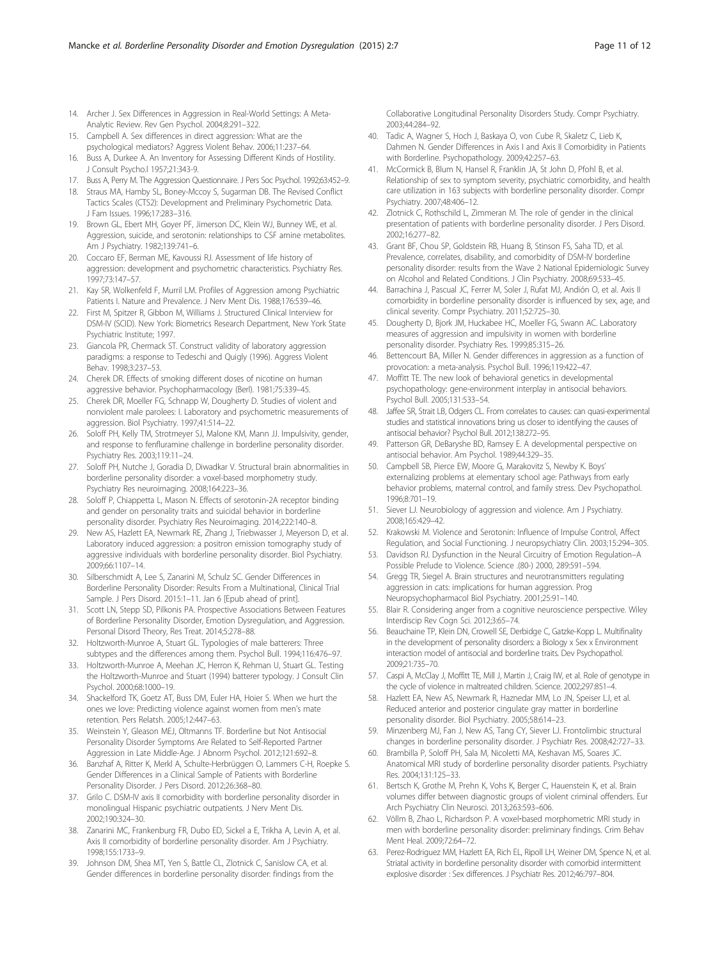- <span id="page-10-0"></span>14. Archer J. Sex Differences in Aggression in Real-World Settings: A Meta-Analytic Review. Rev Gen Psychol. 2004;8:291–322.
- 15. Campbell A. Sex differences in direct aggression: What are the psychological mediators? Aggress Violent Behav. 2006;11:237–64.
- 16. Buss A, Durkee A. An Inventory for Assessing Different Kinds of Hostility. J Consult Psycho.l 1957;21:343-9.
- 17. Buss A, Perry M. The Aggression Questionnaire. J Pers Soc Psychol. 1992;63:452–9.
- 18. Straus MA, Hamby SL, Boney-Mccoy S, Sugarman DB. The Revised Conflict Tactics Scales (CTS2): Development and Preliminary Psychometric Data. J Fam Issues. 1996;17:283–316.
- 19. Brown GL, Ebert MH, Goyer PF, Jimerson DC, Klein WJ, Bunney WE, et al. Aggression, suicide, and serotonin: relationships to CSF amine metabolites. Am J Psychiatry. 1982;139:741–6.
- 20. Coccaro EF, Berman ME, Kavoussi RJ. Assessment of life history of aggression: development and psychometric characteristics. Psychiatry Res. 1997;73:147–57.
- 21. Kay SR, Wolkenfeld F, Murril LM. Profiles of Aggression among Psychiatric Patients I. Nature and Prevalence. J Nerv Ment Dis. 1988;176:539–46.
- 22. First M, Spitzer R, Gibbon M, Williams J. Structured Clinical Interview for DSM-IV (SCID). New York: Biometrics Research Department, New York State Psychiatric Institute; 1997.
- 23. Giancola PR, Chermack ST. Construct validity of laboratory aggression paradigms: a response to Tedeschi and Quigly (1996). Aggress Violent Behav. 1998;3:237–53.
- 24. Cherek DR. Effects of smoking different doses of nicotine on human aggressive behavior. Psychopharmacology (Berl). 1981;75:339–45.
- 25. Cherek DR, Moeller FG, Schnapp W, Dougherty D. Studies of violent and nonviolent male parolees: I. Laboratory and psychometric measurements of aggression. Biol Psychiatry. 1997;41:514–22.
- 26. Soloff PH, Kelly TM, Strotmeyer SJ, Malone KM, Mann JJ. Impulsivity, gender, and response to fenfluramine challenge in borderline personality disorder. Psychiatry Res. 2003;119:11–24.
- 27. Soloff PH, Nutche J, Goradia D, Diwadkar V. Structural brain abnormalities in borderline personality disorder: a voxel-based morphometry study. Psychiatry Res neuroimaging. 2008;164:223–36.
- 28. Soloff P, Chiappetta L, Mason N. Effects of serotonin-2A receptor binding and gender on personality traits and suicidal behavior in borderline personality disorder. Psychiatry Res Neuroimaging. 2014;222:140–8.
- 29. New AS, Hazlett EA, Newmark RE, Zhang J, Triebwasser J, Meyerson D, et al. Laboratory induced aggression: a positron emission tomography study of aggressive individuals with borderline personality disorder. Biol Psychiatry. 2009;66:1107–14.
- 30. Silberschmidt A, Lee S, Zanarini M, Schulz SC. Gender Differences in Borderline Personality Disorder: Results From a Multinational, Clinical Trial Sample. J Pers Disord. 2015:1–11. Jan 6 [Epub ahead of print].
- 31. Scott LN, Stepp SD, Pilkonis PA. Prospective Associations Between Features of Borderline Personality Disorder, Emotion Dysregulation, and Aggression. Personal Disord Theory, Res Treat. 2014;5:278–88.
- 32. Holtzworth-Munroe A, Stuart GL. Typologies of male batterers: Three subtypes and the differences among them. Psychol Bull. 1994;116:476–97.
- 33. Holtzworth-Munroe A, Meehan JC, Herron K, Rehman U, Stuart GL. Testing the Holtzworth-Munroe and Stuart (1994) batterer typology. J Consult Clin Psychol. 2000;68:1000–19.
- 34. Shackelford TK, Goetz AT, Buss DM, Euler HA, Hoier S. When we hurt the ones we love: Predicting violence against women from men's mate retention. Pers Relatsh. 2005;12:447–63.
- 35. Weinstein Y, Gleason MEJ, Oltmanns TF. Borderline but Not Antisocial Personality Disorder Symptoms Are Related to Self-Reported Partner Aggression in Late Middle-Age. J Abnorm Psychol. 2012;121:692–8.
- 36. Banzhaf A, Ritter K, Merkl A, Schulte-Herbrüggen O, Lammers C-H, Roepke S. Gender Differences in a Clinical Sample of Patients with Borderline Personality Disorder. J Pers Disord. 2012;26:368–80.
- 37. Grilo C. DSM-IV axis II comorbidity with borderline personality disorder in monolingual Hispanic psychiatric outpatients. J Nerv Ment Dis. 2002;190:324–30.
- 38. Zanarini MC, Frankenburg FR, Dubo ED, Sickel a E, Trikha A, Levin A, et al. Axis II comorbidity of borderline personality disorder. Am J Psychiatry. 1998;155:1733–9.
- Johnson DM, Shea MT, Yen S, Battle CL, Zlotnick C, Sanislow CA, et al. Gender differences in borderline personality disorder: findings from the

Collaborative Longitudinal Personality Disorders Study. Compr Psychiatry. 2003;44:284–92.

- 40. Tadic A, Wagner S, Hoch J, Baskaya O, von Cube R, Skaletz C, Lieb K, Dahmen N. Gender Differences in Axis I and Axis II Comorbidity in Patients with Borderline. Psychopathology. 2009;42:257–63.
- 41. McCormick B, Blum N, Hansel R, Franklin JA, St John D, Pfohl B, et al. Relationship of sex to symptom severity, psychiatric comorbidity, and health care utilization in 163 subjects with borderline personality disorder. Compr Psychiatry. 2007;48:406–12.
- 42. Zlotnick C, Rothschild L, Zimmeran M. The role of gender in the clinical presentation of patients with borderline personality disorder. J Pers Disord. 2002;16:277–82.
- 43. Grant BF, Chou SP, Goldstein RB, Huang B, Stinson FS, Saha TD, et al. Prevalence, correlates, disability, and comorbidity of DSM-IV borderline personality disorder: results from the Wave 2 National Epidemiologic Survey on Alcohol and Related Conditions. J Clin Psychiatry. 2008;69:533–45.
- 44. Barrachina J, Pascual JC, Ferrer M, Soler J, Rufat MJ, Andión O, et al. Axis II comorbidity in borderline personality disorder is influenced by sex, age, and clinical severity. Compr Psychiatry. 2011;52:725–30.
- 45. Dougherty D, Bjork JM, Huckabee HC, Moeller FG, Swann AC. Laboratory measures of aggression and impulsivity in women with borderline personality disorder. Psychiatry Res. 1999;85:315–26.
- 46. Bettencourt BA, Miller N. Gender differences in aggression as a function of provocation: a meta-analysis. Psychol Bull. 1996;119:422–47.
- 47. Moffitt TE. The new look of behavioral genetics in developmental psychopathology: gene-environment interplay in antisocial behaviors. Psychol Bull. 2005;131:533–54.
- 48. Jaffee SR, Strait LB, Odgers CL. From correlates to causes: can quasi-experimental studies and statistical innovations bring us closer to identifying the causes of antisocial behavior? Psychol Bull. 2012;138:272–95.
- 49. Patterson GR, DeBaryshe BD, Ramsey E. A developmental perspective on antisocial behavior. Am Psychol. 1989;44:329–35.
- 50. Campbell SB, Pierce EW, Moore G, Marakovitz S, Newby K. Boys' externalizing problems at elementary school age: Pathways from early behavior problems, maternal control, and family stress. Dev Psychopathol. 1996;8:701–19.
- 51. Siever LJ. Neurobiology of aggression and violence. Am J Psychiatry. 2008;165:429–42.
- 52. Krakowski M. Violence and Serotonin: Influence of Impulse Control, Affect Regulation, and Social Functioning. J neuropsychiatry Clin. 2003;15:294–305.
- 53. Davidson RJ. Dysfunction in the Neural Circuitry of Emotion Regulation–A Possible Prelude to Violence. Science .(80-) 2000, 289:591–594.
- 54. Gregg TR, Siegel A. Brain structures and neurotransmitters regulating aggression in cats: implications for human aggression. Prog Neuropsychopharmacol Biol Psychiatry. 2001;25:91–140.
- 55. Blair R. Considering anger from a cognitive neuroscience perspective. Wiley Interdiscip Rev Cogn Sci. 2012;3:65–74.
- 56. Beauchaine TP, Klein DN, Crowell SE, Derbidge C, Gatzke-Kopp L. Multifinality in the development of personality disorders: a Biology x Sex x Environment interaction model of antisocial and borderline traits. Dev Psychopathol. 2009;21:735–70.
- 57. Caspi A, McClay J, Moffitt TE, Mill J, Martin J, Craig IW, et al. Role of genotype in the cycle of violence in maltreated children. Science. 2002;297:851–4.
- Hazlett EA, New AS, Newmark R, Haznedar MM, Lo JN, Speiser LJ, et al. Reduced anterior and posterior cingulate gray matter in borderline personality disorder. Biol Psychiatry. 2005;58:614–23.
- 59. Minzenberg MJ, Fan J, New AS, Tang CY, Siever LJ. Frontolimbic structural changes in borderline personality disorder. J Psychiatr Res. 2008;42:727–33.
- 60. Brambilla P, Soloff PH, Sala M, Nicoletti MA, Keshavan MS, Soares JC. Anatomical MRI study of borderline personality disorder patients. Psychiatry Res. 2004;131:125–33.
- 61. Bertsch K, Grothe M, Prehn K, Vohs K, Berger C, Hauenstein K, et al. Brain volumes differ between diagnostic groups of violent criminal offenders. Eur Arch Psychiatry Clin Neurosci. 2013;263:593–606.
- 62. Völlm B, Zhao L, Richardson P. A voxel‐based morphometric MRI study in men with borderline personality disorder: preliminary findings. Crim Behav Ment Heal. 2009;72:64–72.
- 63. Perez-Rodriguez MM, Hazlett EA, Rich EL, Ripoll LH, Weiner DM, Spence N, et al. Striatal activity in borderline personality disorder with comorbid intermittent explosive disorder : Sex differences. J Psychiatr Res. 2012;46:797–804.